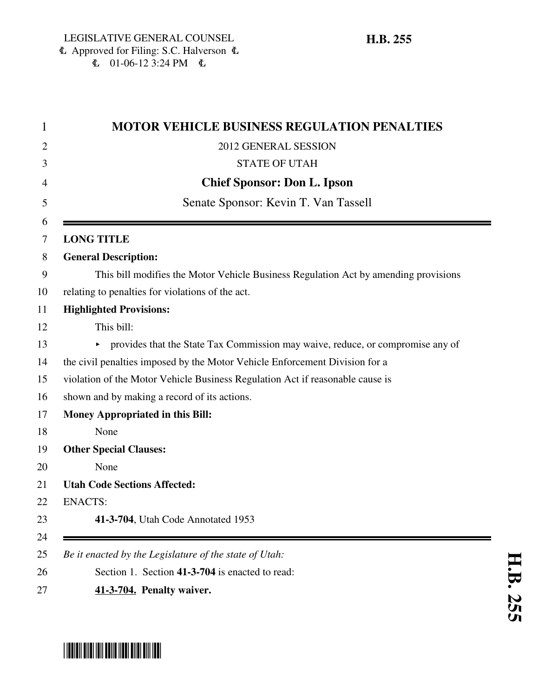| <b>MOTOR VEHICLE BUSINESS REGULATION PENALTIES</b>                                  |
|-------------------------------------------------------------------------------------|
| 2012 GENERAL SESSION                                                                |
| <b>STATE OF UTAH</b>                                                                |
| <b>Chief Sponsor: Don L. Ipson</b>                                                  |
| Senate Sponsor: Kevin T. Van Tassell                                                |
|                                                                                     |
| <b>LONG TITLE</b>                                                                   |
| <b>General Description:</b>                                                         |
| This bill modifies the Motor Vehicle Business Regulation Act by amending provisions |
| relating to penalties for violations of the act.                                    |
| <b>Highlighted Provisions:</b>                                                      |
| This bill:                                                                          |
| • provides that the State Tax Commission may waive, reduce, or compromise any of    |
| the civil penalties imposed by the Motor Vehicle Enforcement Division for a         |
| violation of the Motor Vehicle Business Regulation Act if reasonable cause is       |
| shown and by making a record of its actions.                                        |
| <b>Money Appropriated in this Bill:</b>                                             |
| None                                                                                |
| <b>Other Special Clauses:</b>                                                       |
| None                                                                                |
| <b>Utah Code Sections Affected:</b>                                                 |
| <b>ENACTS:</b>                                                                      |
| 41-3-704, Utah Code Annotated 1953                                                  |
|                                                                                     |
| Be it enacted by the Legislature of the state of Utah:                              |
| Section 1. Section 41-3-704 is enacted to read:                                     |
| 41-3-704. Penalty waiver.                                                           |



## \*HB0255\*